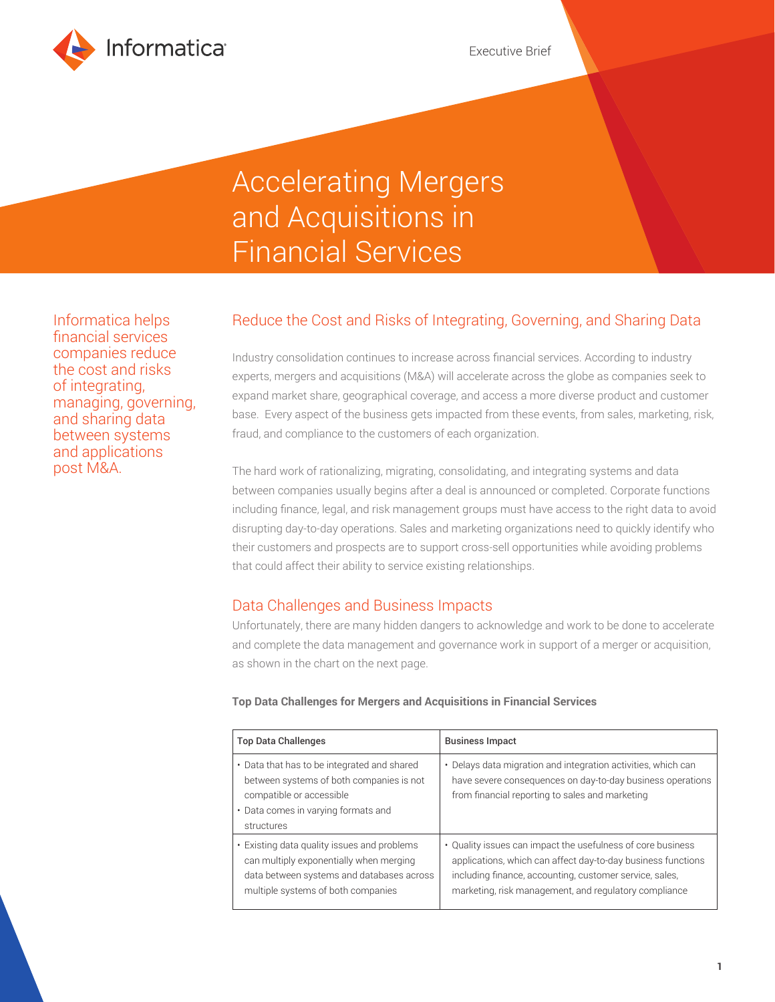

# Accelerating Mergers and Acquisitions in Financial Services

Informatica helps financial services companies reduce the cost and risks of integrating, managing, governing, and sharing data between systems and applications post M&A.

# Reduce the Cost and Risks of Integrating, Governing, and Sharing Data

Industry consolidation continues to increase across financial services. According to industry experts, mergers and acquisitions (M&A) will accelerate across the globe as companies seek to expand market share, geographical coverage, and access a more diverse product and customer base. Every aspect of the business gets impacted from these events, from sales, marketing, risk, fraud, and compliance to the customers of each organization.

The hard work of rationalizing, migrating, consolidating, and integrating systems and data between companies usually begins after a deal is announced or completed. Corporate functions including finance, legal, and risk management groups must have access to the right data to avoid disrupting day-to-day operations. Sales and marketing organizations need to quickly identify who their customers and prospects are to support cross-sell opportunities while avoiding problems that could affect their ability to service existing relationships.

## Data Challenges and Business Impacts

Unfortunately, there are many hidden dangers to acknowledge and work to be done to accelerate and complete the data management and governance work in support of a merger or acquisition, as shown in the chart on the next page.

#### **Top Data Challenges for Mergers and Acquisitions in Financial Services**

| <b>Top Data Challenges</b>                                                                                                                                                | <b>Business Impact</b>                                                                                                                                                                                                                          |
|---------------------------------------------------------------------------------------------------------------------------------------------------------------------------|-------------------------------------------------------------------------------------------------------------------------------------------------------------------------------------------------------------------------------------------------|
| • Data that has to be integrated and shared<br>between systems of both companies is not<br>compatible or accessible<br>• Data comes in varying formats and<br>structures  | • Delays data migration and integration activities, which can<br>have severe consequences on day-to-day business operations<br>from financial reporting to sales and marketing                                                                  |
| • Existing data quality issues and problems<br>can multiply exponentially when merging<br>data between systems and databases across<br>multiple systems of both companies | • Quality issues can impact the usefulness of core business<br>applications, which can affect day-to-day business functions<br>including finance, accounting, customer service, sales,<br>marketing, risk management, and regulatory compliance |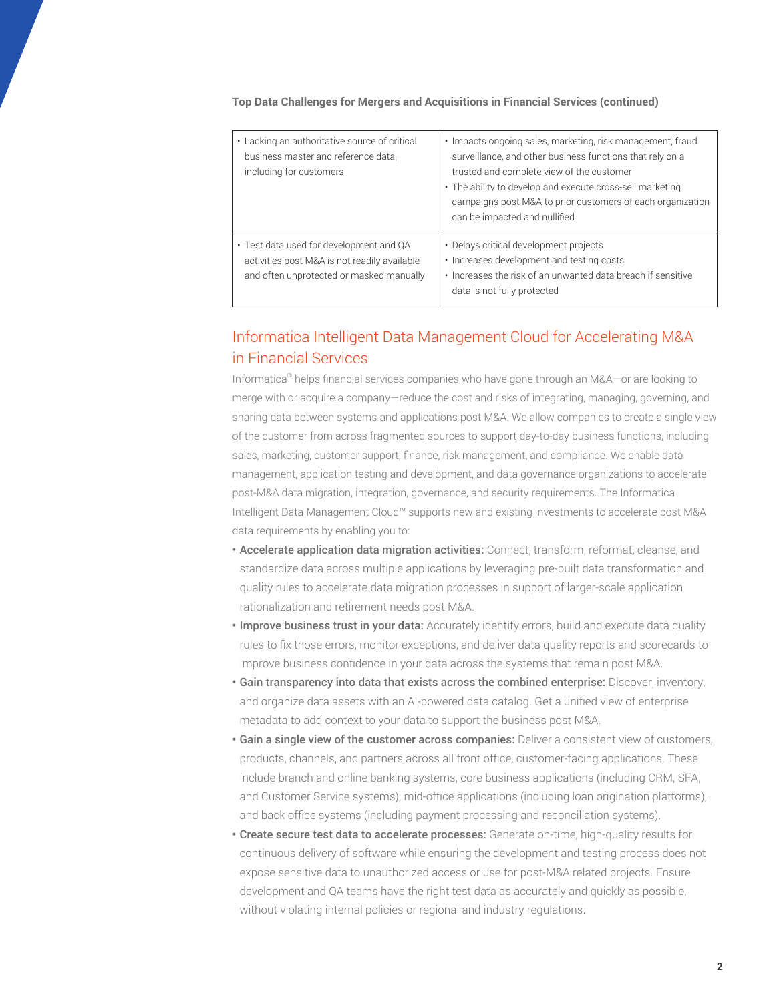| • Lacking an authoritative source of critical<br>business master and reference data,<br>including for customers                     | • Impacts ongoing sales, marketing, risk management, fraud<br>surveillance, and other business functions that rely on a<br>trusted and complete view of the customer<br>• The ability to develop and execute cross-sell marketing<br>campaigns post M&A to prior customers of each organization<br>can be impacted and nullified |
|-------------------------------------------------------------------------------------------------------------------------------------|----------------------------------------------------------------------------------------------------------------------------------------------------------------------------------------------------------------------------------------------------------------------------------------------------------------------------------|
| • Test data used for development and QA<br>activities post M&A is not readily available<br>and often unprotected or masked manually | · Delays critical development projects<br>• Increases development and testing costs<br>• Increases the risk of an unwanted data breach if sensitive<br>data is not fully protected                                                                                                                                               |

#### **Top Data Challenges for Mergers and Acquisitions in Financial Services (continued)**

# Informatica Intelligent Data Management Cloud for Accelerating M&A in Financial Services

Informatica® helps financial services companies who have gone through an M&A—or are looking to merge with or acquire a company—reduce the cost and risks of integrating, managing, governing, and sharing data between systems and applications post M&A. We allow companies to create a single view of the customer from across fragmented sources to support day-to-day business functions, including sales, marketing, customer support, finance, risk management, and compliance. We enable data management, application testing and development, and data governance organizations to accelerate post-M&A data migration, integration, governance, and security requirements. The Informatica Intelligent Data Management Cloud™ supports new and existing investments to accelerate post M&A data requirements by enabling you to:

- Accelerate application data migration activities: Connect, transform, reformat, cleanse, and standardize data across multiple applications by leveraging pre-built data transformation and quality rules to accelerate data migration processes in support of larger-scale application rationalization and retirement needs post M&A.
- Improve business trust in your data: Accurately identify errors, build and execute data quality rules to fix those errors, monitor exceptions, and deliver data quality reports and scorecards to improve business confidence in your data across the systems that remain post M&A.
- Gain transparency into data that exists across the combined enterprise: Discover, inventory, and organize data assets with an AI-powered data catalog. Get a unified view of enterprise metadata to add context to your data to support the business post M&A.
- Gain a single view of the customer across companies: Deliver a consistent view of customers, products, channels, and partners across all front office, customer-facing applications. These include branch and online banking systems, core business applications (including CRM, SFA, and Customer Service systems), mid-office applications (including loan origination platforms), and back office systems (including payment processing and reconciliation systems).
- Create secure test data to accelerate processes: Generate on-time, high-quality results for continuous delivery of software while ensuring the development and testing process does not expose sensitive data to unauthorized access or use for post-M&A related projects. Ensure development and QA teams have the right test data as accurately and quickly as possible, without violating internal policies or regional and industry regulations.